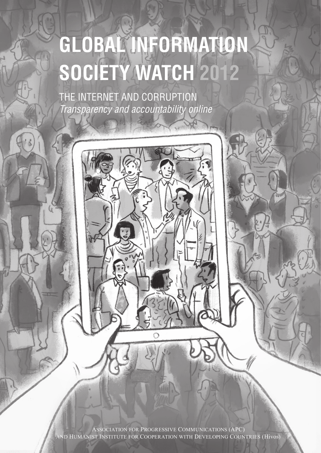# **Global Information Society Watch 2012**

The internet and corruption *Transparency and accountability online*

and Humanist Institute for Cooperation with Developing Countries (Hivos) Association for Progressive Communications (APC)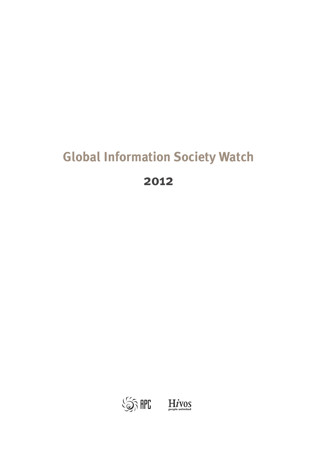## **Global Information Society Watch**

**2012**

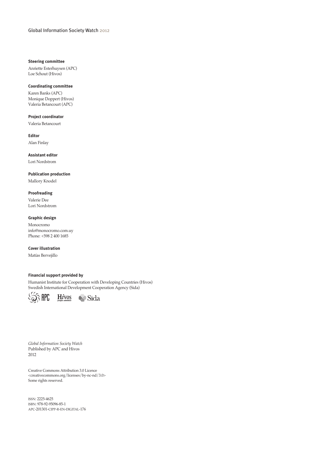#### **Steering committee**

Anriette Esterhuysen (APC) Loe Schout (Hivos)

#### **Coordinating committee**

Karen Banks (APC) Monique Doppert (Hivos) Valeria Betancourt (APC)

#### **Project coordinator**

Valeria Betancourt

**Editor**

Alan Finlay

**Assistant editor** Lori Nordstrom

#### **Publication production**

Mallory Knodel

#### **Proofreading**

Valerie Dee Lori Nordstrom

#### **Graphic design**

Monocromo info@monocromo.com.uy Phone: +598 2 400 1685

#### **Cover illustration**

Matías Bervejillo

#### **Financial support provided by**

Humanist Institute for Cooperation with Developing Countries (Hivos) Swedish International Development Cooperation Agency (Sida)





*Global Information Society Watch*  Published by APC and Hivos 2012

Creative Commons Attribution 3.0 Licence <creativecommons.org/licenses/by-nc-nd/3.0> Some rights reserved.

issn: 2225-4625 isbn: 978-92-95096-85-1 apc-201301-cipp-r-en-digital-176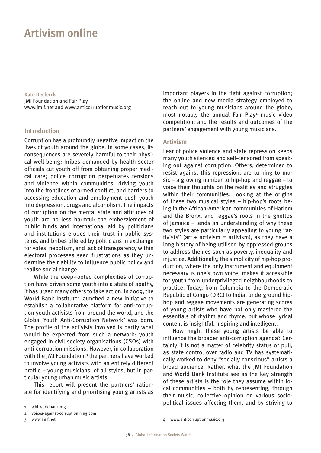### **Artivism online**

**Kate Declerck** JMI Foundation and Fair Play www.jmif.net and www.anticorruptionmusic.org

#### **Introduction**

Corruption has a profoundly negative impact on the lives of youth around the globe. In some cases, its consequences are severely harmful to their physical well-being: bribes demanded by health sector officials cut youth off from obtaining proper medical care; police corruption perpetuates tensions and violence within communities, driving youth into the frontlines of armed conflict; and barriers to accessing education and employment push youth into depression, drugs and alcoholism. The impacts of corruption on the mental state and attitudes of youth are no less harmful: the embezzlement of public funds and international aid by politicians and institutions erodes their trust in public systems, and bribes offered by politicians in exchange for votes, nepotism, and lack of transparency within electoral processes seed frustrations as they undermine their ability to influence public policy and realise social change.

While the deep-rooted complexities of corruption have driven some youth into a state of apathy, it has urged many others to take action. In 2009, the World Bank Institute<sup>1</sup> launched a new initiative to establish a collaborative platform for anti-corruption youth activists from around the world, and the Global Youth Anti-Corruption Network<sup>2</sup> was born. The profile of the activists involved is partly what would be expected from such a network: youth engaged in civil society organisations (CSOs) with anti-corruption missions. However, in collaboration with the JMI Foundation,<sup>3</sup> the partners have worked to involve young activists with an entirely different profile – young musicians, of all styles, but in particular young urban music artists.

This report will present the partners' rationale for identifying and prioritising young artists as

3 www.jmif.net

important players in the fight against corruption; the online and new media strategy employed to reach out to young musicians around the globe, most notably the annual Fair Play4 music video competition; and the results and outcomes of the partners' engagement with young musicians.

#### **Artivism**

Fear of police violence and state repression keeps many youth silenced and self-censored from speaking out against corruption. Others, determined to resist against this repression, are turning to music – a growing number to hip-hop and reggae – to voice their thoughts on the realities and struggles within their communities. Looking at the origins of these two musical styles – hip-hop's roots being in the African-American communities of Harlem and the Bronx, and reggae's roots in the ghettos of Jamaica – lends an understanding of why these two styles are particularly appealing to young "artivists" (art + activism = artivism), as they have a long history of being utilised by oppressed groups to address themes such as poverty, inequality and injustice. Additionally, the simplicity of hip-hop production, where the only instrument and equipment necessary is one's own voice, makes it accessible for youth from underprivileged neighbourhoods to practice. Today, from Colombia to the Democratic Republic of Congo (DRC) to India, underground hiphop and reggae movements are generating scores of young artists who have not only mastered the essentials of rhythm and rhyme, but whose lyrical content is insightful, inspiring and intelligent.

How might these young artists be able to influence the broader anti-corruption agenda? Certainly it is not a matter of celebrity status or pull, as state control over radio and TV has systematically worked to deny "socially conscious" artists a broad audience. Rather, what the JMI Foundation and World Bank Institute see as the key strength of these artists is the role they assume within local communities – both by representing, through their music, collective opinion on various sociopolitical issues affecting them, and by striving to

<sup>1</sup> wbi.worldbank.org

<sup>2</sup> voices-against-corruption.ning.com

<sup>4</sup> www.anticorruptionmusic.org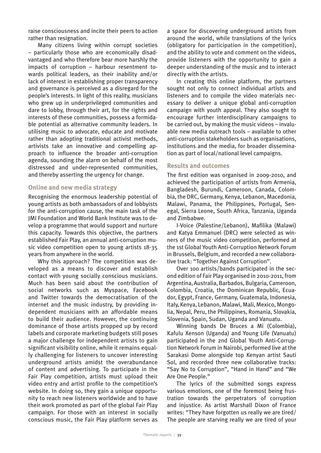raise consciousness and incite their peers to action rather than resignation.

Many citizens living within corrupt societies – particularly those who are economically disadvantaged and who therefore bear more harshly the impacts of corruption – harbour resentment towards political leaders, as their inability and/or lack of interest in establishing proper transparency and governance is perceived as a disregard for the people's interests. In light of this reality, musicians who grew up in underprivileged communities and dare to lobby, through their art, for the rights and interests of these communities, possess a formidable potential as alternative community leaders. In utilising music to advocate, educate and motivate rather than adopting traditional activist methods, artivists take an innovative and compelling approach to influence the broader anti-corruption agenda, sounding the alarm on behalf of the most distressed and under-represented communities, and thereby asserting the urgency for change.

#### **Online and new media strategy**

Recognising the enormous leadership potential of young artists as both ambassadors of and lobbyists for the anti-corruption cause, the main task of the JMI Foundation and World Bank Institute was to develop a programme that would support and nurture this capacity. Towards this objective, the partners established Fair Play, an annual anti-corruption music video competition open to young artists 18-35 years from anywhere in the world.

Why this approach? The competition was developed as a means to discover and establish contact with young socially conscious musicians. Much has been said about the contribution of social networks such as Myspace, Facebook and Twitter towards the democratisation of the internet and the music industry, by providing independent musicians with an affordable means to build their audience. However, the continuing dominance of those artists propped up by record labels and corporate marketing budgets still poses a major challenge for independent artists to gain significant visibility online, while it remains equally challenging for listeners to uncover interesting underground artists amidst the overabundance of content and advertising. To participate in the Fair Play competition, artists must upload their video entry and artist profile to the competition's website. In doing so, they gain a unique opportunity to reach new listeners worldwide and to have their work promoted as part of the global Fair Play campaign. For those with an interest in socially conscious music, the Fair Play platform serves as

a space for discovering underground artists from around the world, while translations of the lyrics (obligatory for participation in the competition), and the ability to vote and comment on the videos, provide listeners with the opportunity to gain a deeper understanding of the music and to interact directly with the artists.

In creating this online platform, the partners sought not only to connect individual artists and listeners and to compile the video materials necessary to deliver a unique global anti-corruption campaign with youth appeal. They also sought to encourage further interdisciplinary campaigns to be carried out, by making the music videos – invaluable new media outreach tools – available to other anti-corruption stakeholders such as organisations, institutions and the media, for broader dissemination as part of local/national level campaigns.

#### **Results and outcomes**

The first edition was organised in 2009-2010, and achieved the participation of artists from Armenia, Bangladesh, Burundi, Cameroon, Canada, Colombia, the DRC, Germany, Kenya, Lebanon, Macedonia, Malawi, Panama, the Philippines, Portugal, Senegal, Sierra Leone, South Africa, Tanzania, Uganda and Zimbabwe.

I-Voice (Palestine/Lebanon), Mafilika (Malawi) and Katya Emmanuel (DRC) were selected as winners of the music video competition, performed at the 1st Global Youth Anti-Corruption Network Forum in Brussels, Belgium, and recorded a new collaborative track: "Together Against Corruption".

Over 100 artists/bands participated in the second edition of Fair Play organised in 2010-2011, from Argentina, Australia, Barbados, Bulgaria, Cameroon, Colombia, Croatia, the Dominican Republic, Ecuador, Egypt, France, Germany, Guatemala, Indonesia, Italy, Kenya, Lebanon, Malawi, Mali, Mexico, Mongolia, Nepal, Peru, the Philippines, Romania, Slovakia, Slovenia, Spain, Sudan, Uganda and Vanuatu.

Winning bands De Bruces a Mi (Colombia), Kafulu Xenson (Uganda) and Young Life (Vanuatu) participated in the 2nd Global Youth Anti-Corruption Network Forum in Nairobi, performed live at the Sarakasi Dome alongside top Kenyan artist Sauti Sol, and recorded three new collaborative tracks: "Say No to Corruption", "Hand in Hand" and "We Are One People."

The lyrics of the submitted songs express various emotions, one of the foremost being frustration towards the perpetrators of corruption and injustice. As artist Marshall Dixon of France writes: "They have forgotten us really we are tired/ The people are starving really we are tired of your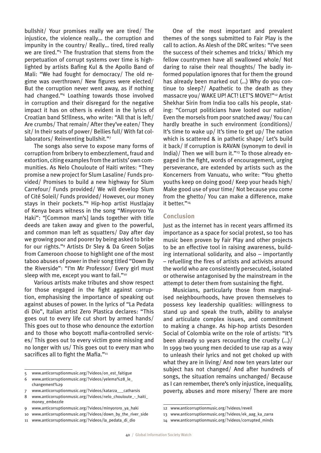bullshit/ Your promises really we are tired/ The injustice, the violence really… the corruption and impunity in the country/ Really… tired, tired really we are tired."5 The frustration that stems from the perpetuation of corrupt systems over time is highlighted by artists Bafing Kul & the Apollo Band of Mali: "We had fought for democracy/ The old regime was overthrown/ New figures were elected/ But the corruption never went away, as if nothing had changed."6 Loathing towards those involved in corruption and their disregard for the negative impact it has on others is evident in the lyrics of Croatian band St!llness, who write: "All that is left/ Are crumbs/ That remain/ After they've eaten/ They sit/ In their seats of power/ Bellies full/ With fat collaborators/ Reinventing bullshit."7

The songs also serve to expose many forms of corruption from bribery to embezzlement, fraud and extortion, citing examples from the artists' own communities. As Nelo Chouloute of Haiti writes: "They promise a new project for Slum Lasaline/ Funds provided/ Promises to build a new highway for Slum Carrefour/ Funds provided/ We will develop Slum of Cité Soleil/ Funds provided/ However, our money stays in their pockets."8 Hip-hop artist Hustlajay of Kenya bears witness in the song "Minyororo Ya Haki": "[Common man's] lands together with title deeds are taken away and given to the powerful, and common man left as squatters/ Day after day we growing poor and poorer by being asked to bribe for our rights."9 Artists Dr Sley & Da Green Soljas from Cameroon choose to highlight one of the most taboo abuses of power in their song titled "Down By the Riverside": "I'm Mr Professor/ Every girl must sleep with me, except you want to fail."<sup>10</sup>

Various artists make tributes and show respect for those engaged in the fight against corruption, emphasising the importance of speaking out against abuses of power. In the lyrics of "La Pedata di Dio", Italian artist Zero Plastica declares: "This goes out to every life cut short by armed hands/ This goes out to those who denounce the extortion and to those who boycott mafia-controlled services/ This goes out to every victim gone missing and no longer with us/ This goes out to every man who sacrifices all to fight the Mafia."<sup>11</sup>

5 www.anticorruptionmusic.org/?videos/on\_est\_faitigue

One of the most important and prevalent themes of the songs submitted to Fair Play is the call to action. As Alesh of the DRC writes: "I've seen the success of their schemes and tricks/ Which my fellow countrymen have all swallowed whole/ Not daring to raise their real thoughts/ The badly informed population ignores that for them the ground has already been marked out (…) Why do you continue to sleep?/ Apathetic to the death as they massacre you/ WAKE UP! ACT! LET'S MOVE!"12 Artist Shekhar Sirin from India too calls his people, stating: "Corrupt politicians have looted our nation/ Even the morsels from poor snatched away/ You can hardly breathe in such environment (conditions)/ It's time to wake up/ It's time to get up/ The nation which is scattered & in pathetic shape/ Let's build it back/ If corruption is RAVAN (synonym to devil in India)/ Then we will burn it."13 To those already engaged in the fight, words of encouragement, urging perseverance, are extended by artists such as the Koncerners from Vanuatu, who write: "You ghetto youths keep on doing good/ Keep your heads high/ Make good use of your time/ Not because you come from the ghetto/ You can make a difference, make it better."<sup>14</sup>

#### **Conclusion**

Just as the internet has in recent years affirmed its importance as a space for social protest, so too has music been proven by Fair Play and other projects to be an effective tool in raising awareness, building international solidarity, and also – importantly – refuelling the fires of artists and activists around the world who are consistently persecuted, isolated or otherwise antagonised by the mainstream in the attempt to deter them from sustaining the fight.

Musicians, particularly those from marginalised neighbourhoods, have proven themselves to possess key leadership qualities: willingness to stand up and speak the truth, ability to analyse and articulate complex issues, and commitment to making a change. As hip-hop artists Desorden Social of Colombia write on the role of artists: "It's been already 10 years recounting the cruelty (…)/ In 1999 two young men decided to use rap as a way to unleash their lyrics and not get choked up with what they are in living/ And now ten years later our subject has not changed/ And after hundreds of songs, the situation remains unchanged/ Because as I can remember, there's only injustice, inequality, poverty, abuses and more misery/ There are more

<sup>6</sup> www.anticorruptionmusic.org/?videos/yelema%28\_le\_ changement%29

<sup>7</sup> www.anticorruptionmusic.org/?videos/katarza\_\_\_catharsis

<sup>8</sup> www.anticorruptionmusic.org/?videos/nelo\_chouloute - haiti money\_embezzle

<sup>9</sup> www.anticorruptionmusic.org/?videos/minyororo\_ya\_haki

<sup>10</sup> www.anticorruptionmusic.org/?videos/down\_by\_the\_river\_side 11 www.anticorruptionmusic.org/?videos/la\_pedata\_di\_dio

<sup>12</sup> www.anticorruptionmusic.org/?videos/reveil

<sup>13</sup> www.anticorruptionmusic.org/?videos/ek\_aag\_ka\_zarra

<sup>14</sup> www.anticorruptionmusic.org/?videos/corrupted\_minds